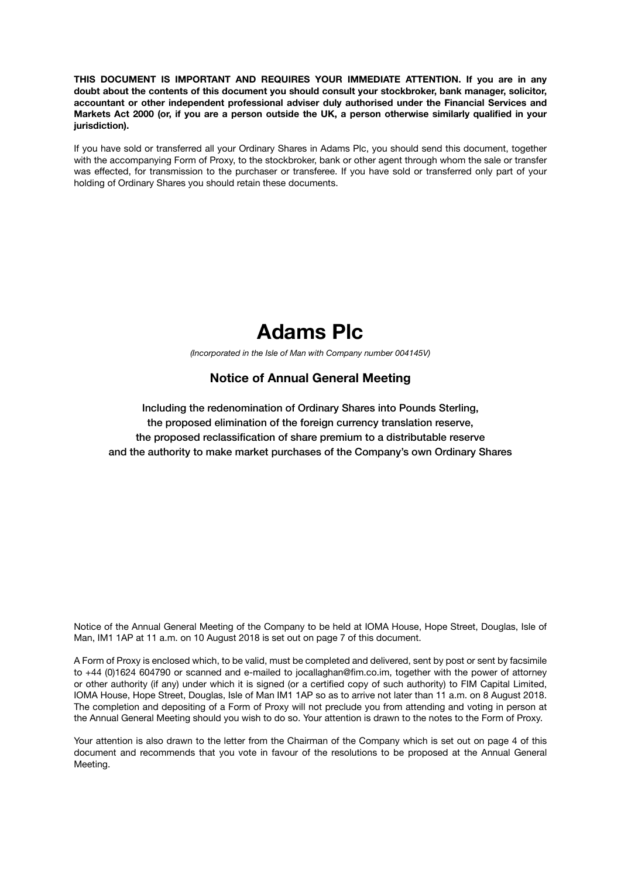**THIS DOCUMENT IS IMPORTANT AND REQUIRES YOUR IMMEDIATE ATTENTION. If you are in any doubt about the contents of this document you should consult your stockbroker, bank manager, solicitor, accountant or other independent professional adviser duly authorised under the Financial Services and Markets Act 2000 (or, if you are a person outside the UK, a person otherwise similarly qualified in your jurisdiction).**

If you have sold or transferred all your Ordinary Shares in Adams Plc, you should send this document, together with the accompanying Form of Proxy, to the stockbroker, bank or other agent through whom the sale or transfer was effected, for transmission to the purchaser or transferee. If you have sold or transferred only part of your holding of Ordinary Shares you should retain these documents.



*(Incorporated in the Isle of Man with Company number 004145V)*

## **Notice of Annual General Meeting**

Including the redenomination of Ordinary Shares into Pounds Sterling, the proposed elimination of the foreign currency translation reserve, the proposed reclassification of share premium to a distributable reserve and the authority to make market purchases of the Company's own Ordinary Shares

Notice of the Annual General Meeting of the Company to be held at IOMA House, Hope Street, Douglas, Isle of Man, IM1 1AP at 11 a.m. on 10 August 2018 is set out on page 7 of this document.

A Form of Proxy is enclosed which, to be valid, must be completed and delivered, sent by post or sent by facsimile to +44 (0)1624 604790 or scanned and e-mailed to jocallaghan@fim.co.im, together with the power of attorney or other authority (if any) under which it is signed (or a certified copy of such authority) to FIM Capital Limited, IOMA House, Hope Street, Douglas, Isle of Man IM1 1AP so as to arrive not later than 11 a.m. on 8 August 2018. The completion and depositing of a Form of Proxy will not preclude you from attending and voting in person at the Annual General Meeting should you wish to do so. Your attention is drawn to the notes to the Form of Proxy.

Your attention is also drawn to the letter from the Chairman of the Company which is set out on page 4 of this document and recommends that you vote in favour of the resolutions to be proposed at the Annual General Meeting.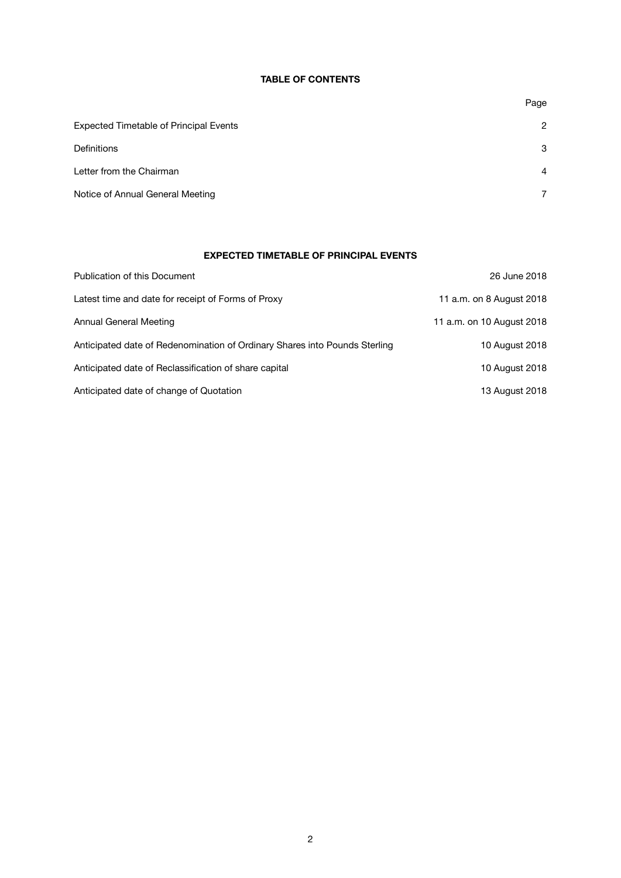## **TABLE OF CONTENTS**

|                                               | Page           |
|-----------------------------------------------|----------------|
| <b>Expected Timetable of Principal Events</b> | $\overline{c}$ |
| <b>Definitions</b>                            | 3              |
| Letter from the Chairman                      | $\overline{4}$ |
| Notice of Annual General Meeting              | 7              |

## **EXPECTED TIMETABLE OF PRINCIPAL EVENTS**

| Publication of this Document                                               | 26 June 2018              |
|----------------------------------------------------------------------------|---------------------------|
| Latest time and date for receipt of Forms of Proxy                         | 11 a.m. on 8 August 2018  |
| Annual General Meeting                                                     | 11 a.m. on 10 August 2018 |
| Anticipated date of Redenomination of Ordinary Shares into Pounds Sterling | 10 August 2018            |
| Anticipated date of Reclassification of share capital                      | 10 August 2018            |
| Anticipated date of change of Quotation                                    | 13 August 2018            |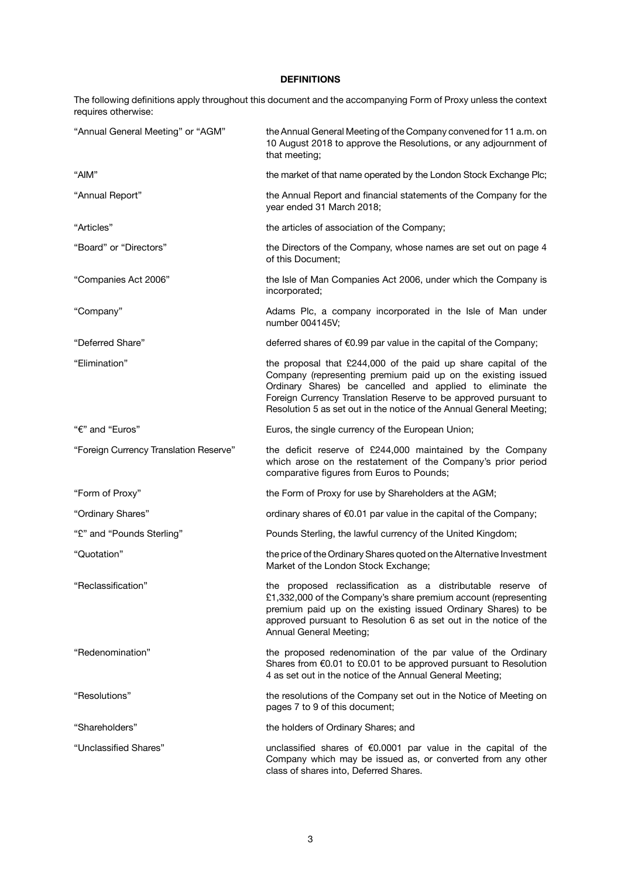## **DEFINITIONS**

The following definitions apply throughout this document and the accompanying Form of Proxy unless the context requires otherwise:

| "Annual General Meeting" or "AGM"      | the Annual General Meeting of the Company convened for 11 a.m. on<br>10 August 2018 to approve the Resolutions, or any adjournment of<br>that meeting;                                                                                                                                                                                  |
|----------------------------------------|-----------------------------------------------------------------------------------------------------------------------------------------------------------------------------------------------------------------------------------------------------------------------------------------------------------------------------------------|
| "AIM"                                  | the market of that name operated by the London Stock Exchange Plc;                                                                                                                                                                                                                                                                      |
| "Annual Report"                        | the Annual Report and financial statements of the Company for the<br>year ended 31 March 2018;                                                                                                                                                                                                                                          |
| "Articles"                             | the articles of association of the Company;                                                                                                                                                                                                                                                                                             |
| "Board" or "Directors"                 | the Directors of the Company, whose names are set out on page 4<br>of this Document;                                                                                                                                                                                                                                                    |
| "Companies Act 2006"                   | the Isle of Man Companies Act 2006, under which the Company is<br>incorporated;                                                                                                                                                                                                                                                         |
| "Company"                              | Adams Plc, a company incorporated in the Isle of Man under<br>number 004145V;                                                                                                                                                                                                                                                           |
| "Deferred Share"                       | deferred shares of $\epsilon$ 0.99 par value in the capital of the Company;                                                                                                                                                                                                                                                             |
| "Elimination"                          | the proposal that £244,000 of the paid up share capital of the<br>Company (representing premium paid up on the existing issued<br>Ordinary Shares) be cancelled and applied to eliminate the<br>Foreign Currency Translation Reserve to be approved pursuant to<br>Resolution 5 as set out in the notice of the Annual General Meeting; |
| "€" and "Euros"                        | Euros, the single currency of the European Union;                                                                                                                                                                                                                                                                                       |
| "Foreign Currency Translation Reserve" | the deficit reserve of £244,000 maintained by the Company<br>which arose on the restatement of the Company's prior period<br>comparative figures from Euros to Pounds;                                                                                                                                                                  |
| "Form of Proxy"                        | the Form of Proxy for use by Shareholders at the AGM;                                                                                                                                                                                                                                                                                   |
| "Ordinary Shares"                      | ordinary shares of €0.01 par value in the capital of the Company;                                                                                                                                                                                                                                                                       |
| "£" and "Pounds Sterling"              | Pounds Sterling, the lawful currency of the United Kingdom;                                                                                                                                                                                                                                                                             |
| "Quotation"                            | the price of the Ordinary Shares quoted on the Alternative Investment<br>Market of the London Stock Exchange;                                                                                                                                                                                                                           |
| "Reclassification"                     | the proposed reclassification as a distributable reserve of<br>£1,332,000 of the Company's share premium account (representing<br>premium paid up on the existing issued Ordinary Shares) to be<br>approved pursuant to Resolution 6 as set out in the notice of the<br>Annual General Meeting;                                         |
| "Redenomination"                       | the proposed redenomination of the par value of the Ordinary<br>Shares from $\epsilon$ 0.01 to £0.01 to be approved pursuant to Resolution<br>4 as set out in the notice of the Annual General Meeting;                                                                                                                                 |
| "Resolutions"                          | the resolutions of the Company set out in the Notice of Meeting on<br>pages 7 to 9 of this document;                                                                                                                                                                                                                                    |
| "Shareholders"                         | the holders of Ordinary Shares; and                                                                                                                                                                                                                                                                                                     |
| "Unclassified Shares"                  | unclassified shares of €0.0001 par value in the capital of the<br>Company which may be issued as, or converted from any other<br>class of shares into, Deferred Shares.                                                                                                                                                                 |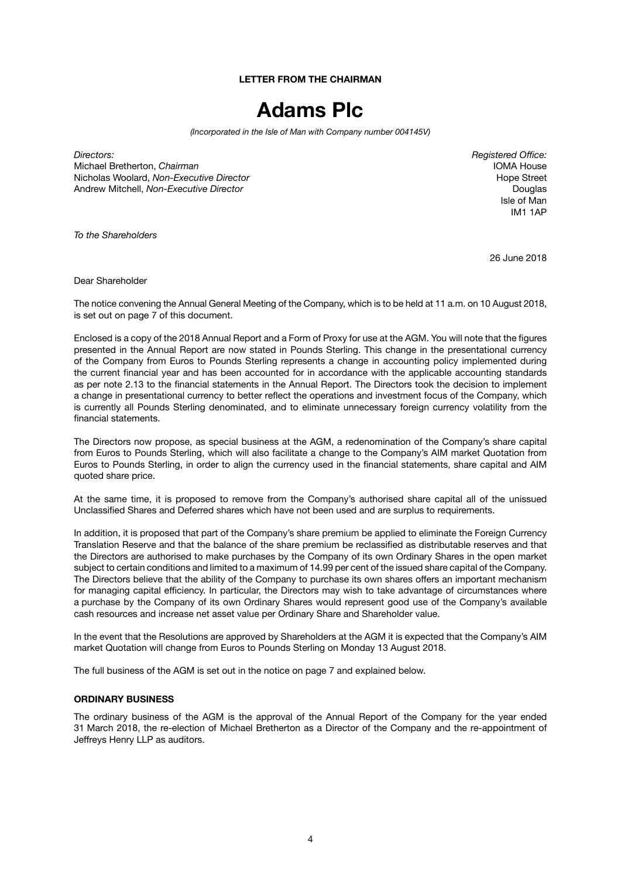**LETTER FROM THE CHAIRMAN**

# **Adams Plc**

*(Incorporated in the Isle of Man with Company number 004145V)*

*Directors: Registered Office:* Michael Bretherton, *Chairman* IOMA House Nicholas Woolard, *Non-Executive Director*<br>Andrew Mitchell. *Non-Executive Director* New Street Andrew Mitchell. *Non-Executive Director* Andrew Mitchell, *Non-Executive Director* 

Isle of Man IM1 1AP

*To the Shareholders*

26 June 2018

Dear Shareholder

The notice convening the Annual General Meeting of the Company, which is to be held at 11 a.m. on 10 August 2018, is set out on page 7 of this document.

Enclosed is a copy of the 2018 Annual Report and a Form of Proxy for use at the AGM. You will note that the figures presented in the Annual Report are now stated in Pounds Sterling. This change in the presentational currency of the Company from Euros to Pounds Sterling represents a change in accounting policy implemented during the current financial year and has been accounted for in accordance with the applicable accounting standards as per note 2.13 to the financial statements in the Annual Report. The Directors took the decision to implement a change in presentational currency to better reflect the operations and investment focus of the Company, which is currently all Pounds Sterling denominated, and to eliminate unnecessary foreign currency volatility from the financial statements.

The Directors now propose, as special business at the AGM, a redenomination of the Company's share capital from Euros to Pounds Sterling, which will also facilitate a change to the Company's AIM market Quotation from Euros to Pounds Sterling, in order to align the currency used in the financial statements, share capital and AIM quoted share price.

At the same time, it is proposed to remove from the Company's authorised share capital all of the unissued Unclassified Shares and Deferred shares which have not been used and are surplus to requirements.

In addition, it is proposed that part of the Company's share premium be applied to eliminate the Foreign Currency Translation Reserve and that the balance of the share premium be reclassified as distributable reserves and that the Directors are authorised to make purchases by the Company of its own Ordinary Shares in the open market subject to certain conditions and limited to a maximum of 14.99 per cent of the issued share capital of the Company. The Directors believe that the ability of the Company to purchase its own shares offers an important mechanism for managing capital efficiency. In particular, the Directors may wish to take advantage of circumstances where a purchase by the Company of its own Ordinary Shares would represent good use of the Company's available cash resources and increase net asset value per Ordinary Share and Shareholder value.

In the event that the Resolutions are approved by Shareholders at the AGM it is expected that the Company's AIM market Quotation will change from Euros to Pounds Sterling on Monday 13 August 2018.

The full business of the AGM is set out in the notice on page 7 and explained below.

#### **ORDINARY BUSINESS**

The ordinary business of the AGM is the approval of the Annual Report of the Company for the year ended 31 March 2018, the re-election of Michael Bretherton as a Director of the Company and the re-appointment of Jeffreys Henry LLP as auditors.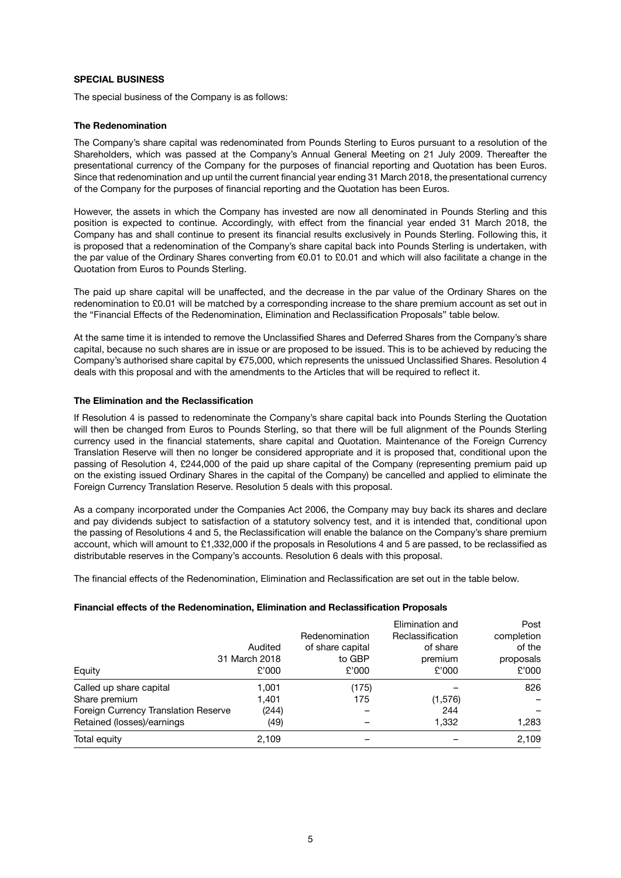### **SPECIAL BUSINESS**

The special business of the Company is as follows:

#### **The Redenomination**

The Company's share capital was redenominated from Pounds Sterling to Euros pursuant to a resolution of the Shareholders, which was passed at the Company's Annual General Meeting on 21 July 2009. Thereafter the presentational currency of the Company for the purposes of financial reporting and Quotation has been Euros. Since that redenomination and up until the current financial year ending 31 March 2018, the presentational currency of the Company for the purposes of financial reporting and the Quotation has been Euros.

However, the assets in which the Company has invested are now all denominated in Pounds Sterling and this position is expected to continue. Accordingly, with effect from the financial year ended 31 March 2018, the Company has and shall continue to present its financial results exclusively in Pounds Sterling. Following this, it is proposed that a redenomination of the Company's share capital back into Pounds Sterling is undertaken, with the par value of the Ordinary Shares converting from €0.01 to £0.01 and which will also facilitate a change in the Quotation from Euros to Pounds Sterling.

The paid up share capital will be unaffected, and the decrease in the par value of the Ordinary Shares on the redenomination to £0.01 will be matched by a corresponding increase to the share premium account as set out in the "Financial Effects of the Redenomination, Elimination and Reclassification Proposals" table below.

At the same time it is intended to remove the Unclassified Shares and Deferred Shares from the Company's share capital, because no such shares are in issue or are proposed to be issued. This is to be achieved by reducing the Company's authorised share capital by €75,000, which represents the unissued Unclassified Shares. Resolution 4 deals with this proposal and with the amendments to the Articles that will be required to reflect it.

#### **The Elimination and the Reclassification**

If Resolution 4 is passed to redenominate the Company's share capital back into Pounds Sterling the Quotation will then be changed from Euros to Pounds Sterling, so that there will be full alignment of the Pounds Sterling currency used in the financial statements, share capital and Quotation. Maintenance of the Foreign Currency Translation Reserve will then no longer be considered appropriate and it is proposed that, conditional upon the passing of Resolution 4, £244,000 of the paid up share capital of the Company (representing premium paid up on the existing issued Ordinary Shares in the capital of the Company) be cancelled and applied to eliminate the Foreign Currency Translation Reserve. Resolution 5 deals with this proposal.

As a company incorporated under the Companies Act 2006, the Company may buy back its shares and declare and pay dividends subject to satisfaction of a statutory solvency test, and it is intended that, conditional upon the passing of Resolutions 4 and 5, the Reclassification will enable the balance on the Company's share premium account, which will amount to £1,332,000 if the proposals in Resolutions 4 and 5 are passed, to be reclassified as distributable reserves in the Company's accounts. Resolution 6 deals with this proposal.

The financial effects of the Redenomination, Elimination and Reclassification are set out in the table below.

#### **Financial effects of the Redenomination, Elimination and Reclassification Proposals**

| Equity                               | Audited<br>31 March 2018<br>£'000 | Redenomination<br>of share capital<br>to GBP<br>£'000 | Elimination and<br>Reclassification<br>of share<br>premium<br>£'000 | Post<br>completion<br>of the<br>proposals<br>£'000 |
|--------------------------------------|-----------------------------------|-------------------------------------------------------|---------------------------------------------------------------------|----------------------------------------------------|
| Called up share capital              | 1,001                             | (175)                                                 |                                                                     | 826                                                |
| Share premium                        | 1,401                             | 175                                                   | (1, 576)                                                            |                                                    |
| Foreign Currency Translation Reserve | (244)                             |                                                       | 244                                                                 |                                                    |
| Retained (losses)/earnings           | (49)                              |                                                       | 1,332                                                               | 1,283                                              |
| Total equity                         | 2,109                             |                                                       |                                                                     | 2,109                                              |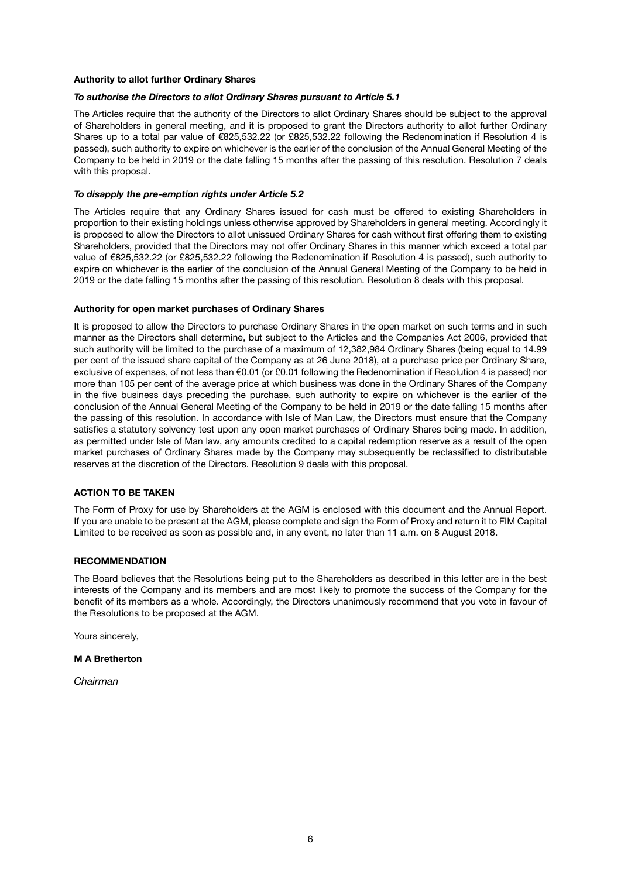#### **Authority to allot further Ordinary Shares**

#### *To authorise the Directors to allot Ordinary Shares pursuant to Article 5.1*

The Articles require that the authority of the Directors to allot Ordinary Shares should be subject to the approval of Shareholders in general meeting, and it is proposed to grant the Directors authority to allot further Ordinary Shares up to a total par value of €825,532.22 (or £825,532.22 following the Redenomination if Resolution 4 is passed), such authority to expire on whichever is the earlier of the conclusion of the Annual General Meeting of the Company to be held in 2019 or the date falling 15 months after the passing of this resolution. Resolution 7 deals with this proposal.

#### *To disapply the pre-emption rights under Article 5.2*

The Articles require that any Ordinary Shares issued for cash must be offered to existing Shareholders in proportion to their existing holdings unless otherwise approved by Shareholders in general meeting. Accordingly it is proposed to allow the Directors to allot unissued Ordinary Shares for cash without first offering them to existing Shareholders, provided that the Directors may not offer Ordinary Shares in this manner which exceed a total par value of €825,532.22 (or £825,532.22 following the Redenomination if Resolution 4 is passed), such authority to expire on whichever is the earlier of the conclusion of the Annual General Meeting of the Company to be held in 2019 or the date falling 15 months after the passing of this resolution. Resolution 8 deals with this proposal.

#### **Authority for open market purchases of Ordinary Shares**

It is proposed to allow the Directors to purchase Ordinary Shares in the open market on such terms and in such manner as the Directors shall determine, but subject to the Articles and the Companies Act 2006, provided that such authority will be limited to the purchase of a maximum of 12,382,984 Ordinary Shares (being equal to 14.99 per cent of the issued share capital of the Company as at 26 June 2018), at a purchase price per Ordinary Share, exclusive of expenses, of not less than €0.01 (or £0.01 following the Redenomination if Resolution 4 is passed) nor more than 105 per cent of the average price at which business was done in the Ordinary Shares of the Company in the five business days preceding the purchase, such authority to expire on whichever is the earlier of the conclusion of the Annual General Meeting of the Company to be held in 2019 or the date falling 15 months after the passing of this resolution. In accordance with Isle of Man Law, the Directors must ensure that the Company satisfies a statutory solvency test upon any open market purchases of Ordinary Shares being made. In addition, as permitted under Isle of Man law, any amounts credited to a capital redemption reserve as a result of the open market purchases of Ordinary Shares made by the Company may subsequently be reclassified to distributable reserves at the discretion of the Directors. Resolution 9 deals with this proposal.

#### **ACTION TO BE TAKEN**

The Form of Proxy for use by Shareholders at the AGM is enclosed with this document and the Annual Report. If you are unable to be present at the AGM, please complete and sign the Form of Proxy and return it to FIM Capital Limited to be received as soon as possible and, in any event, no later than 11 a.m. on 8 August 2018.

#### **RECOMMENDATION**

The Board believes that the Resolutions being put to the Shareholders as described in this letter are in the best interests of the Company and its members and are most likely to promote the success of the Company for the benefit of its members as a whole. Accordingly, the Directors unanimously recommend that you vote in favour of the Resolutions to be proposed at the AGM.

Yours sincerely,

#### **M A Bretherton**

*Chairman*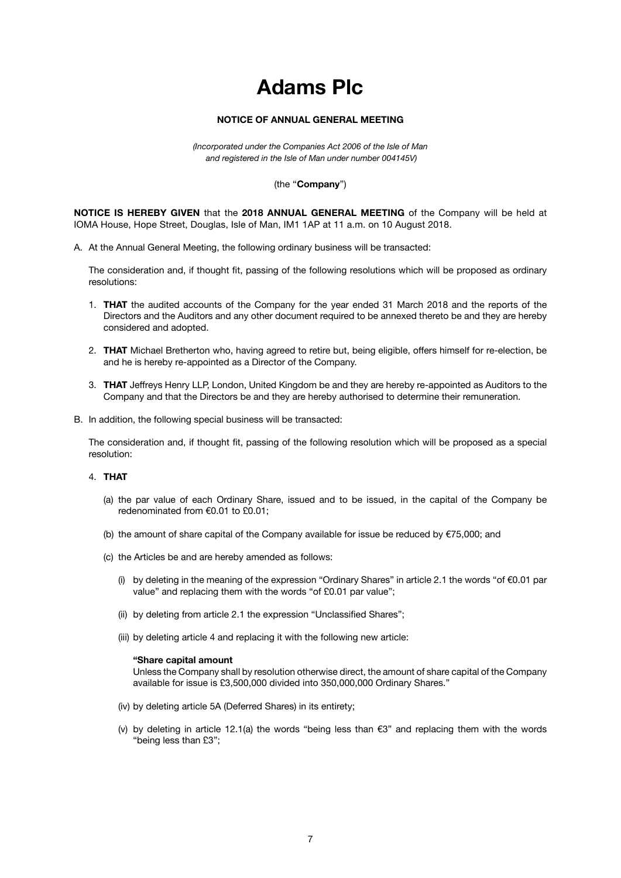## **Adams Plc**

### **NOTICE OF ANNUAL GENERAL MEETING**

*(Incorporated under the Companies Act 2006 of the Isle of Man and registered in the Isle of Man under number 004145V)*

#### (the ''**Company**'')

**NOTICE IS HEREBY GIVEN** that the **2018 ANNUAL GENERAL MEETING** of the Company will be held at IOMA House, Hope Street, Douglas, Isle of Man, IM1 1AP at 11 a.m. on 10 August 2018.

A. At the Annual General Meeting, the following ordinary business will be transacted:

The consideration and, if thought fit, passing of the following resolutions which will be proposed as ordinary resolutions:

- 1. **THAT** the audited accounts of the Company for the year ended 31 March 2018 and the reports of the Directors and the Auditors and any other document required to be annexed thereto be and they are hereby considered and adopted.
- 2. **THAT** Michael Bretherton who, having agreed to retire but, being eligible, offers himself for re-election, be and he is hereby re-appointed as a Director of the Company.
- 3. **THAT** Jeffreys Henry LLP, London, United Kingdom be and they are hereby re-appointed as Auditors to the Company and that the Directors be and they are hereby authorised to determine their remuneration.
- B. In addition, the following special business will be transacted:

The consideration and, if thought fit, passing of the following resolution which will be proposed as a special resolution:

#### 4. **THAT**

- (a) the par value of each Ordinary Share, issued and to be issued, in the capital of the Company be redenominated from €0.01 to £0.01;
- (b) the amount of share capital of the Company available for issue be reduced by  $E$ 75,000; and
- (c) the Articles be and are hereby amended as follows:
	- (i) by deleting in the meaning of the expression "Ordinary Shares" in article 2.1 the words "of €0.01 par value" and replacing them with the words "of £0.01 par value";
	- (ii) by deleting from article 2.1 the expression "Unclassified Shares";
	- (iii) by deleting article 4 and replacing it with the following new article:

#### **"Share capital amount**

Unless the Company shall by resolution otherwise direct, the amount of share capital of the Company available for issue is £3,500,000 divided into 350,000,000 Ordinary Shares."

- (iv) by deleting article 5A (Deferred Shares) in its entirety;
- (v) by deleting in article 12.1(a) the words "being less than  $\epsilon$ 3" and replacing them with the words "being less than £3";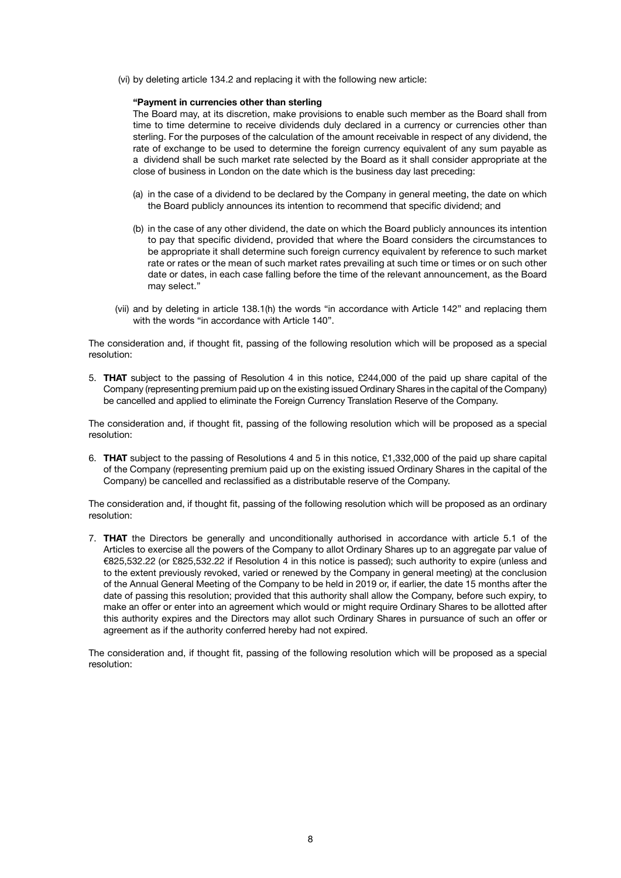(vi) by deleting article 134.2 and replacing it with the following new article:

#### **"Payment in currencies other than sterling**

The Board may, at its discretion, make provisions to enable such member as the Board shall from time to time determine to receive dividends duly declared in a currency or currencies other than sterling. For the purposes of the calculation of the amount receivable in respect of any dividend, the rate of exchange to be used to determine the foreign currency equivalent of any sum payable as a dividend shall be such market rate selected by the Board as it shall consider appropriate at the close of business in London on the date which is the business day last preceding:

- (a) in the case of a dividend to be declared by the Company in general meeting, the date on which the Board publicly announces its intention to recommend that specific dividend; and
- (b) in the case of any other dividend, the date on which the Board publicly announces its intention to pay that specific dividend, provided that where the Board considers the circumstances to be appropriate it shall determine such foreign currency equivalent by reference to such market rate or rates or the mean of such market rates prevailing at such time or times or on such other date or dates, in each case falling before the time of the relevant announcement, as the Board may select."
- (vii) and by deleting in article 138.1(h) the words "in accordance with Article 142" and replacing them with the words "in accordance with Article 140".

The consideration and, if thought fit, passing of the following resolution which will be proposed as a special resolution:

5. **THAT** subject to the passing of Resolution 4 in this notice, £244,000 of the paid up share capital of the Company (representing premium paid up on the existing issued Ordinary Shares in the capital of the Company) be cancelled and applied to eliminate the Foreign Currency Translation Reserve of the Company.

The consideration and, if thought fit, passing of the following resolution which will be proposed as a special resolution:

6. **THAT** subject to the passing of Resolutions 4 and 5 in this notice, £1,332,000 of the paid up share capital of the Company (representing premium paid up on the existing issued Ordinary Shares in the capital of the Company) be cancelled and reclassified as a distributable reserve of the Company.

The consideration and, if thought fit, passing of the following resolution which will be proposed as an ordinary resolution:

7. **THAT** the Directors be generally and unconditionally authorised in accordance with article 5.1 of the Articles to exercise all the powers of the Company to allot Ordinary Shares up to an aggregate par value of €825,532.22 (or £825,532.22 if Resolution 4 in this notice is passed); such authority to expire (unless and to the extent previously revoked, varied or renewed by the Company in general meeting) at the conclusion of the Annual General Meeting of the Company to be held in 2019 or, if earlier, the date 15 months after the date of passing this resolution; provided that this authority shall allow the Company, before such expiry, to make an offer or enter into an agreement which would or might require Ordinary Shares to be allotted after this authority expires and the Directors may allot such Ordinary Shares in pursuance of such an offer or agreement as if the authority conferred hereby had not expired.

The consideration and, if thought fit, passing of the following resolution which will be proposed as a special resolution: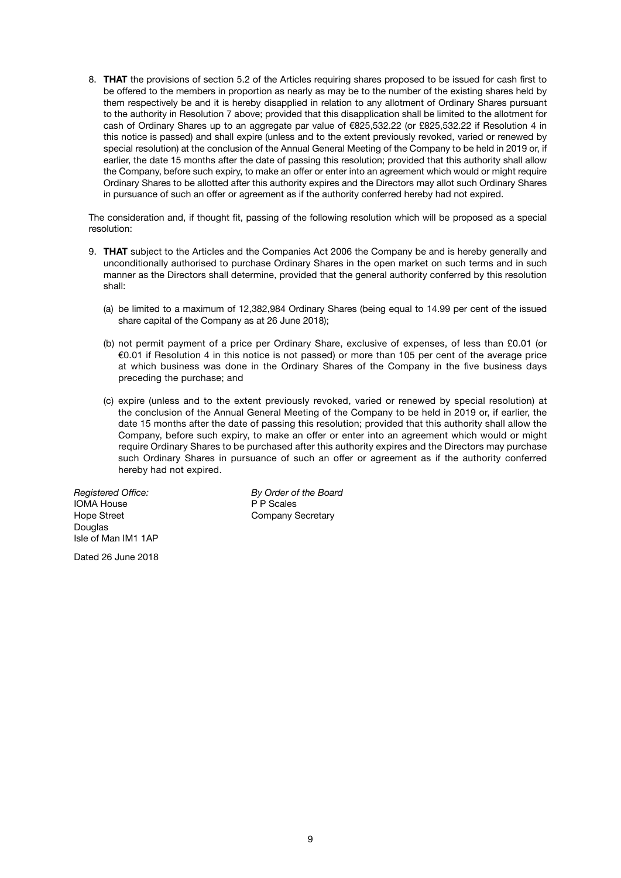8. **THAT** the provisions of section 5.2 of the Articles requiring shares proposed to be issued for cash first to be offered to the members in proportion as nearly as may be to the number of the existing shares held by them respectively be and it is hereby disapplied in relation to any allotment of Ordinary Shares pursuant to the authority in Resolution 7 above; provided that this disapplication shall be limited to the allotment for cash of Ordinary Shares up to an aggregate par value of €825,532.22 (or £825,532.22 if Resolution 4 in this notice is passed) and shall expire (unless and to the extent previously revoked, varied or renewed by special resolution) at the conclusion of the Annual General Meeting of the Company to be held in 2019 or, if earlier, the date 15 months after the date of passing this resolution; provided that this authority shall allow the Company, before such expiry, to make an offer or enter into an agreement which would or might require Ordinary Shares to be allotted after this authority expires and the Directors may allot such Ordinary Shares in pursuance of such an offer or agreement as if the authority conferred hereby had not expired.

The consideration and, if thought fit, passing of the following resolution which will be proposed as a special resolution:

- 9. **THAT** subject to the Articles and the Companies Act 2006 the Company be and is hereby generally and unconditionally authorised to purchase Ordinary Shares in the open market on such terms and in such manner as the Directors shall determine, provided that the general authority conferred by this resolution shall:
	- (a) be limited to a maximum of 12,382,984 Ordinary Shares (being equal to 14.99 per cent of the issued share capital of the Company as at 26 June 2018);
	- (b) not permit payment of a price per Ordinary Share, exclusive of expenses, of less than £0.01 (or €0.01 if Resolution 4 in this notice is not passed) or more than 105 per cent of the average price at which business was done in the Ordinary Shares of the Company in the five business days preceding the purchase; and
	- (c) expire (unless and to the extent previously revoked, varied or renewed by special resolution) at the conclusion of the Annual General Meeting of the Company to be held in 2019 or, if earlier, the date 15 months after the date of passing this resolution; provided that this authority shall allow the Company, before such expiry, to make an offer or enter into an agreement which would or might require Ordinary Shares to be purchased after this authority expires and the Directors may purchase such Ordinary Shares in pursuance of such an offer or agreement as if the authority conferred hereby had not expired.

**IOMA House** Hope Street **Company Secretary** Douglas Isle of Man IM1 1AP

Dated 26 June 2018

*Registered Office: By Order of the Board*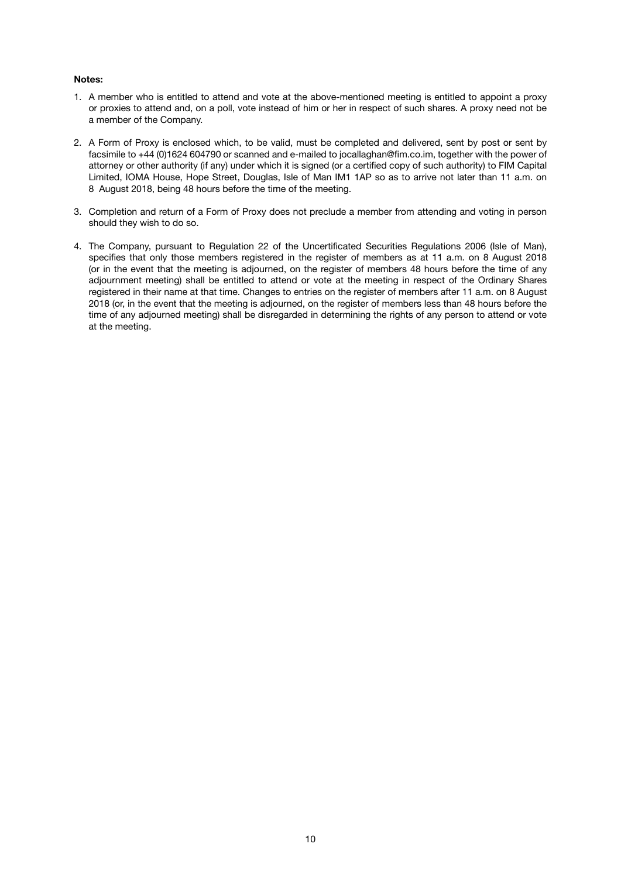#### **Notes:**

- 1. A member who is entitled to attend and vote at the above-mentioned meeting is entitled to appoint a proxy or proxies to attend and, on a poll, vote instead of him or her in respect of such shares. A proxy need not be a member of the Company.
- 2. A Form of Proxy is enclosed which, to be valid, must be completed and delivered, sent by post or sent by facsimile to +44 (0)1624 604790 or scanned and e-mailed to jocallaghan@fim.co.im, together with the power of attorney or other authority (if any) under which it is signed (or a certified copy of such authority) to FIM Capital Limited, IOMA House, Hope Street, Douglas, Isle of Man IM1 1AP so as to arrive not later than 11 a.m. on 8 August 2018, being 48 hours before the time of the meeting.
- 3. Completion and return of a Form of Proxy does not preclude a member from attending and voting in person should they wish to do so.
- 4. The Company, pursuant to Regulation 22 of the Uncertificated Securities Regulations 2006 (Isle of Man), specifies that only those members registered in the register of members as at 11 a.m. on 8 August 2018 (or in the event that the meeting is adjourned, on the register of members 48 hours before the time of any adjournment meeting) shall be entitled to attend or vote at the meeting in respect of the Ordinary Shares registered in their name at that time. Changes to entries on the register of members after 11 a.m. on 8 August 2018 (or, in the event that the meeting is adjourned, on the register of members less than 48 hours before the time of any adjourned meeting) shall be disregarded in determining the rights of any person to attend or vote at the meeting.